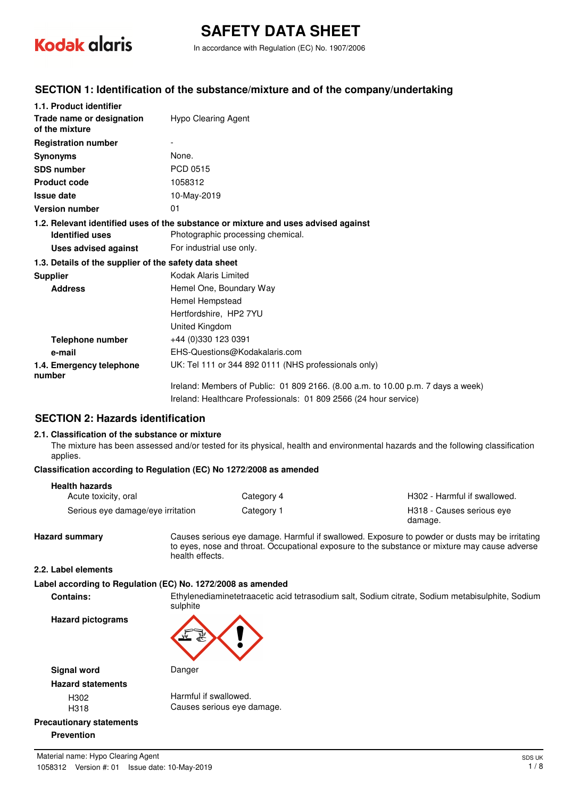

# **SAFETY DATA SHEET**

In accordance with Regulation (EC) No. 1907/2006

#### **SECTION 1: Identification of the substance/mixture and of the company/undertaking**

| 1.1. Product identifier                               |                                                                                    |
|-------------------------------------------------------|------------------------------------------------------------------------------------|
| Trade name or designation<br>of the mixture           | Hypo Clearing Agent                                                                |
| <b>Registration number</b>                            |                                                                                    |
| <b>Synonyms</b>                                       | None.                                                                              |
| <b>SDS number</b>                                     | PCD 0515                                                                           |
| <b>Product code</b>                                   | 1058312                                                                            |
| <b>Issue date</b>                                     | 10-May-2019                                                                        |
| <b>Version number</b>                                 | 01                                                                                 |
|                                                       | 1.2. Relevant identified uses of the substance or mixture and uses advised against |
| <b>Identified uses</b>                                | Photographic processing chemical.                                                  |
| Uses advised against                                  | For industrial use only.                                                           |
| 1.3. Details of the supplier of the safety data sheet |                                                                                    |
| <b>Supplier</b>                                       | Kodak Alaris Limited                                                               |
| <b>Address</b>                                        | Hemel One, Boundary Way                                                            |
|                                                       | Hemel Hempstead                                                                    |
|                                                       | Hertfordshire, HP2 7YU                                                             |
|                                                       | United Kingdom                                                                     |
| <b>Telephone number</b>                               | +44 (0)330 123 0391                                                                |
| e-mail                                                | EHS-Questions@Kodakalaris.com                                                      |
| 1.4. Emergency telephone<br>number                    | UK: Tel 111 or 344 892 0111 (NHS professionals only)                               |
|                                                       | Ireland: Members of Public: 01 809 2166. (8.00 a.m. to 10.00 p.m. 7 days a week)   |
|                                                       | Ireland: Healthcare Professionals: 01 809 2566 (24 hour service)                   |

#### **SECTION 2: Hazards identification**

#### **2.1. Classification of the substance or mixture**

The mixture has been assessed and/or tested for its physical, health and environmental hazards and the following classification applies.

#### **Classification according to Regulation (EC) No 1272/2008 as amended**

#### **Health hazards**

| Acute toxicity, oral              | Category 4 | H302 - Harmful if swallowed.         |
|-----------------------------------|------------|--------------------------------------|
| Serious eye damage/eye irritation | Category 1 | H318 - Causes serious eye<br>damage. |

**Hazard summary** Causes serious eye damage. Harmful if swallowed. Exposure to powder or dusts may be irritating to eyes, nose and throat. Occupational exposure to the substance or mixture may cause adverse health effects.

#### **2.2. Label elements**

#### **Label according to Regulation (EC) No. 1272/2008 as amended**

**Contains:** Ethylenediaminetetraacetic acid tetrasodium salt, Sodium citrate, Sodium metabisulphite, Sodium sulphite

**Hazard pictograms**

## **Signal word** Danger

**Hazard statements**

H302 Harmful if swallowed. H318 Causes serious eye damage.

#### **Precautionary statements Prevention**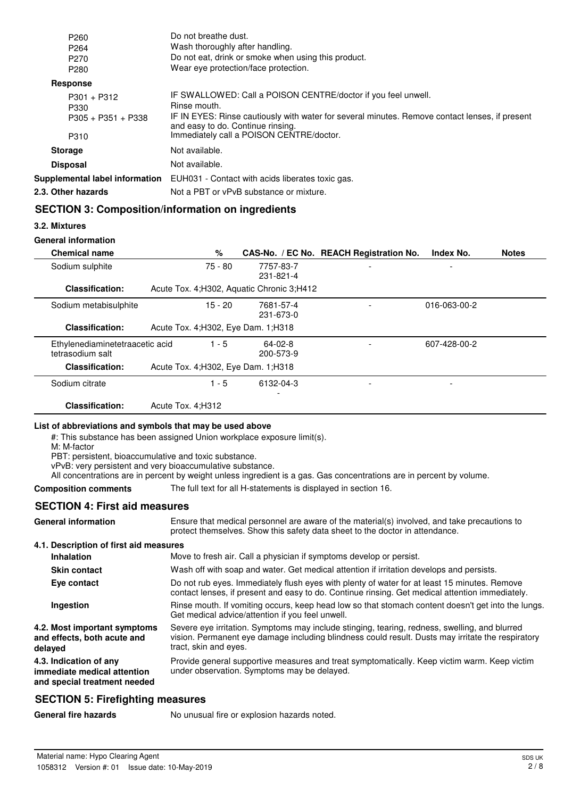| P <sub>260</sub><br>P <sub>264</sub><br>P <sub>270</sub> | Do not breathe dust.<br>Wash thoroughly after handling.<br>Do not eat, drink or smoke when using this product.                                                                                                                                                   |
|----------------------------------------------------------|------------------------------------------------------------------------------------------------------------------------------------------------------------------------------------------------------------------------------------------------------------------|
| P <sub>280</sub>                                         | Wear eve protection/face protection.                                                                                                                                                                                                                             |
| Response                                                 |                                                                                                                                                                                                                                                                  |
| $P301 + P312$<br>P330<br>$P305 + P351 + P338$<br>P310    | IF SWALLOWED: Call a POISON CENTRE/doctor if you feel unwell.<br>Rinse mouth.<br>IF IN EYES: Rinse cautiously with water for several minutes. Remove contact lenses, if present<br>and easy to do. Continue rinsing.<br>Immediately call a POISON CENTRE/doctor. |
| <b>Storage</b>                                           | Not available.                                                                                                                                                                                                                                                   |
| <b>Disposal</b>                                          | Not available.                                                                                                                                                                                                                                                   |
| Supplemental label information                           | EUH031 - Contact with acids liberates toxic gas.                                                                                                                                                                                                                 |
| 2.3. Other hazards                                       | Not a PBT or vPvB substance or mixture.                                                                                                                                                                                                                          |

## **SECTION 3: Composition/information on ingredients**

**3.2. Mixtures**

#### **General information**

| <b>Chemical name</b>                                | %                                           |                        | CAS-No. / EC No. REACH Registration No. | Index No.    | <b>Notes</b> |
|-----------------------------------------------------|---------------------------------------------|------------------------|-----------------------------------------|--------------|--------------|
| Sodium sulphite                                     | 75 - 80                                     | 7757-83-7<br>231-821-4 | $\overline{\phantom{0}}$                |              |              |
| <b>Classification:</b>                              | Acute Tox. 4; H302, Aquatic Chronic 3; H412 |                        |                                         |              |              |
| Sodium metabisulphite                               | $15 - 20$                                   | 7681-57-4<br>231-673-0 |                                         | 016-063-00-2 |              |
| <b>Classification:</b>                              | Acute Tox. 4; H302, Eye Dam. 1; H318        |                        |                                         |              |              |
| Ethylenediaminetetraacetic acid<br>tetrasodium salt | $1 - 5$                                     | 64-02-8<br>200-573-9   |                                         | 607-428-00-2 |              |
| <b>Classification:</b>                              | Acute Tox. 4; H302, Eye Dam. 1; H318        |                        |                                         |              |              |
| Sodium citrate                                      | $1 - 5$                                     | 6132-04-3              | ۰                                       |              |              |
| <b>Classification:</b>                              | Acute Tox. 4: H312                          |                        |                                         |              |              |

#### **List of abbreviations and symbols that may be used above**

#: This substance has been assigned Union workplace exposure limit(s).

M: M-factor

PBT: persistent, bioaccumulative and toxic substance.

vPvB: very persistent and very bioaccumulative substance.

All concentrations are in percent by weight unless ingredient is a gas. Gas concentrations are in percent by volume.

#### **Composition comments** The full text for all H-statements is displayed in section 16.

### **SECTION 4: First aid measures**

| <b>General information</b>                                                            | Ensure that medical personnel are aware of the material(s) involved, and take precautions to<br>protect themselves. Show this safety data sheet to the doctor in attendance.                                                |  |  |
|---------------------------------------------------------------------------------------|-----------------------------------------------------------------------------------------------------------------------------------------------------------------------------------------------------------------------------|--|--|
| 4.1. Description of first aid measures                                                |                                                                                                                                                                                                                             |  |  |
| <b>Inhalation</b>                                                                     | Move to fresh air. Call a physician if symptoms develop or persist.                                                                                                                                                         |  |  |
| <b>Skin contact</b>                                                                   | Wash off with soap and water. Get medical attention if irritation develops and persists.                                                                                                                                    |  |  |
| Eye contact                                                                           | Do not rub eyes. Immediately flush eyes with plenty of water for at least 15 minutes. Remove<br>contact lenses, if present and easy to do. Continue rinsing. Get medical attention immediately.                             |  |  |
| Ingestion                                                                             | Rinse mouth. If vomiting occurs, keep head low so that stomach content doesn't get into the lungs.<br>Get medical advice/attention if you feel unwell.                                                                      |  |  |
| 4.2. Most important symptoms<br>and effects, both acute and<br>delayed                | Severe eye irritation. Symptoms may include stinging, tearing, redness, swelling, and blurred<br>vision. Permanent eye damage including blindness could result. Dusts may irritate the respiratory<br>tract, skin and eyes. |  |  |
| 4.3. Indication of any<br>immediate medical attention<br>and special treatment needed | Provide general supportive measures and treat symptomatically. Keep victim warm. Keep victim<br>under observation. Symptoms may be delayed.                                                                                 |  |  |

### **SECTION 5: Firefighting measures**

General fire hazards **No unusual fire or explosion hazards noted.**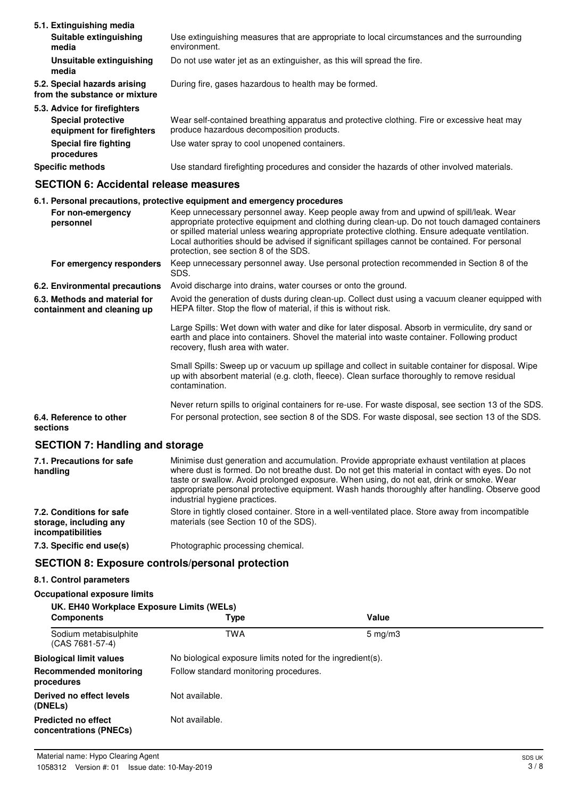| 5.1. Extinguishing media                                      |                                                                                                                                          |
|---------------------------------------------------------------|------------------------------------------------------------------------------------------------------------------------------------------|
| Suitable extinguishing<br>media                               | Use extinguishing measures that are appropriate to local circumstances and the surrounding<br>environment.                               |
| Unsuitable extinguishing<br>media                             | Do not use water jet as an extinguisher, as this will spread the fire.                                                                   |
| 5.2. Special hazards arising<br>from the substance or mixture | During fire, gases hazardous to health may be formed.                                                                                    |
| 5.3. Advice for firefighters                                  |                                                                                                                                          |
| <b>Special protective</b><br>equipment for firefighters       | Wear self-contained breathing apparatus and protective clothing. Fire or excessive heat may<br>produce hazardous decomposition products. |
| Special fire fighting<br>procedures                           | Use water spray to cool unopened containers.                                                                                             |
| <b>Specific methods</b>                                       | Use standard firefighting procedures and consider the hazards of other involved materials.                                               |

#### **SECTION 6: Accidental release measures**

#### **6.1. Personal precautions, protective equipment and emergency procedures**

| For non-emergency<br>personnel                               | Keep unnecessary personnel away. Keep people away from and upwind of spill/leak. Wear<br>appropriate protective equipment and clothing during clean-up. Do not touch damaged containers<br>or spilled material unless wearing appropriate protective clothing. Ensure adequate ventilation.<br>Local authorities should be advised if significant spillages cannot be contained. For personal<br>protection, see section 8 of the SDS. |
|--------------------------------------------------------------|----------------------------------------------------------------------------------------------------------------------------------------------------------------------------------------------------------------------------------------------------------------------------------------------------------------------------------------------------------------------------------------------------------------------------------------|
| For emergency responders                                     | Keep unnecessary personnel away. Use personal protection recommended in Section 8 of the<br>SDS.                                                                                                                                                                                                                                                                                                                                       |
| 6.2. Environmental precautions                               | Avoid discharge into drains, water courses or onto the ground.                                                                                                                                                                                                                                                                                                                                                                         |
| 6.3. Methods and material for<br>containment and cleaning up | Avoid the generation of dusts during clean-up. Collect dust using a vacuum cleaner equipped with<br>HEPA filter. Stop the flow of material, if this is without risk.                                                                                                                                                                                                                                                                   |
|                                                              | Large Spills: Wet down with water and dike for later disposal. Absorb in vermiculite, dry sand or<br>earth and place into containers. Shovel the material into waste container. Following product<br>recovery, flush area with water.                                                                                                                                                                                                  |
|                                                              | Small Spills: Sweep up or vacuum up spillage and collect in suitable container for disposal. Wipe<br>up with absorbent material (e.g. cloth, fleece). Clean surface thoroughly to remove residual<br>contamination.                                                                                                                                                                                                                    |
|                                                              | Never return spills to original containers for re-use. For waste disposal, see section 13 of the SDS.                                                                                                                                                                                                                                                                                                                                  |
| 6.4. Reference to other<br>sections                          | For personal protection, see section 8 of the SDS. For waste disposal, see section 13 of the SDS.                                                                                                                                                                                                                                                                                                                                      |
| <b>SECTION 7: Handling and storage</b>                       |                                                                                                                                                                                                                                                                                                                                                                                                                                        |
| 7.1. Precautions for safe<br>handling                        | Minimise dust generation and accumulation. Provide appropriate exhaust ventilation at places<br>where dust is formed. Do not breathe dust. Do not get this material in contact with eyes. Do not<br>taste or swallow. Avoid prolonged exposure. When using, do not eat, drink or smoke. Wear<br>appropriate personal protective equipment. Wash hands thoroughly after handling. Observe good<br>industrial hygiene practices.         |

Store in tightly closed container. Store in a well-ventilated place. Store away from incompatible materials (see Section 10 of the SDS). **7.2. Conditions for safe storage, including any incompatibilities**

#### **7.3. Specific end use(s)** Photographic processing chemical.

#### **SECTION 8: Exposure controls/personal protection**

## **8.1. Control parameters**

**Occupational exposure limits**

| UK. EH40 Workplace Exposure Limits (WELs)            |                                                            |                  |  |
|------------------------------------------------------|------------------------------------------------------------|------------------|--|
| <b>Components</b>                                    | Type                                                       | Value            |  |
| Sodium metabisulphite<br>(CAS 7681-57-4)             | TWA                                                        | $5 \text{ mg/m}$ |  |
| <b>Biological limit values</b>                       | No biological exposure limits noted for the ingredient(s). |                  |  |
| Recommended monitoring<br>procedures                 | Follow standard monitoring procedures.                     |                  |  |
| Derived no effect levels<br>(DNELs)                  | Not available.                                             |                  |  |
| <b>Predicted no effect</b><br>concentrations (PNECs) | Not available.                                             |                  |  |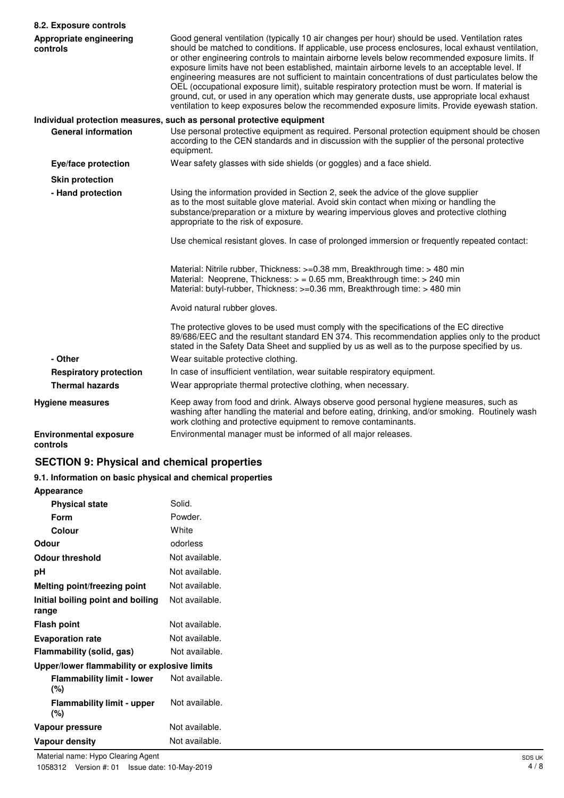| 8.2. Exposure controls                    |                                                                                                                                                                                                                                                                                                                                                                                                                                                                                                                                                                                                                                                                                                                                                                                                                     |
|-------------------------------------------|---------------------------------------------------------------------------------------------------------------------------------------------------------------------------------------------------------------------------------------------------------------------------------------------------------------------------------------------------------------------------------------------------------------------------------------------------------------------------------------------------------------------------------------------------------------------------------------------------------------------------------------------------------------------------------------------------------------------------------------------------------------------------------------------------------------------|
| Appropriate engineering<br>controls       | Good general ventilation (typically 10 air changes per hour) should be used. Ventilation rates<br>should be matched to conditions. If applicable, use process enclosures, local exhaust ventilation,<br>or other engineering controls to maintain airborne levels below recommended exposure limits. If<br>exposure limits have not been established, maintain airborne levels to an acceptable level. If<br>engineering measures are not sufficient to maintain concentrations of dust particulates below the<br>OEL (occupational exposure limit), suitable respiratory protection must be worn. If material is<br>ground, cut, or used in any operation which may generate dusts, use appropriate local exhaust<br>ventilation to keep exposures below the recommended exposure limits. Provide eyewash station. |
|                                           | Individual protection measures, such as personal protective equipment                                                                                                                                                                                                                                                                                                                                                                                                                                                                                                                                                                                                                                                                                                                                               |
| <b>General information</b>                | Use personal protective equipment as required. Personal protection equipment should be chosen<br>according to the CEN standards and in discussion with the supplier of the personal protective<br>equipment.                                                                                                                                                                                                                                                                                                                                                                                                                                                                                                                                                                                                        |
| Eye/face protection                       | Wear safety glasses with side shields (or goggles) and a face shield.                                                                                                                                                                                                                                                                                                                                                                                                                                                                                                                                                                                                                                                                                                                                               |
| <b>Skin protection</b>                    |                                                                                                                                                                                                                                                                                                                                                                                                                                                                                                                                                                                                                                                                                                                                                                                                                     |
| - Hand protection                         | Using the information provided in Section 2, seek the advice of the glove supplier<br>as to the most suitable glove material. Avoid skin contact when mixing or handling the<br>substance/preparation or a mixture by wearing impervious gloves and protective clothing<br>appropriate to the risk of exposure.                                                                                                                                                                                                                                                                                                                                                                                                                                                                                                     |
|                                           | Use chemical resistant gloves. In case of prolonged immersion or frequently repeated contact:                                                                                                                                                                                                                                                                                                                                                                                                                                                                                                                                                                                                                                                                                                                       |
|                                           | Material: Nitrile rubber, Thickness: >=0.38 mm, Breakthrough time: > 480 min<br>Material: Neoprene, Thickness: $>$ = 0.65 mm, Breakthrough time: $>$ 240 min<br>Material: butyl-rubber, Thickness: >=0.36 mm, Breakthrough time: > 480 min                                                                                                                                                                                                                                                                                                                                                                                                                                                                                                                                                                          |
|                                           | Avoid natural rubber gloves.                                                                                                                                                                                                                                                                                                                                                                                                                                                                                                                                                                                                                                                                                                                                                                                        |
|                                           | The protective gloves to be used must comply with the specifications of the EC directive<br>89/686/EEC and the resultant standard EN 374. This recommendation applies only to the product<br>stated in the Safety Data Sheet and supplied by us as well as to the purpose specified by us.                                                                                                                                                                                                                                                                                                                                                                                                                                                                                                                          |
| - Other                                   | Wear suitable protective clothing.                                                                                                                                                                                                                                                                                                                                                                                                                                                                                                                                                                                                                                                                                                                                                                                  |
| <b>Respiratory protection</b>             | In case of insufficient ventilation, wear suitable respiratory equipment.                                                                                                                                                                                                                                                                                                                                                                                                                                                                                                                                                                                                                                                                                                                                           |
| <b>Thermal hazards</b>                    | Wear appropriate thermal protective clothing, when necessary.                                                                                                                                                                                                                                                                                                                                                                                                                                                                                                                                                                                                                                                                                                                                                       |
| <b>Hygiene measures</b>                   | Keep away from food and drink. Always observe good personal hygiene measures, such as<br>washing after handling the material and before eating, drinking, and/or smoking. Routinely wash<br>work clothing and protective equipment to remove contaminants.                                                                                                                                                                                                                                                                                                                                                                                                                                                                                                                                                          |
| <b>Environmental exposure</b><br>controls | Environmental manager must be informed of all major releases.                                                                                                                                                                                                                                                                                                                                                                                                                                                                                                                                                                                                                                                                                                                                                       |

## **SECTION 9: Physical and chemical properties**

## **9.1. Information on basic physical and chemical properties**

## **Appearance**

| <b>Physical state</b>                        | Solid.         |
|----------------------------------------------|----------------|
| Form                                         | Powder.        |
| Colour                                       | White          |
| Odour                                        | odorless       |
| Odour threshold                              | Not available. |
| рH                                           | Not available. |
| Melting point/freezing point                 | Not available. |
| Initial boiling point and boiling<br>range   | Not available. |
| <b>Flash point</b>                           | Not available. |
| <b>Evaporation rate</b>                      | Not available. |
| Flammability (solid, gas)                    | Not available. |
| Upper/lower flammability or explosive limits |                |
| <b>Flammability limit - lower</b><br>(%)     | Not available. |
| <b>Flammability limit - upper</b><br>(%)     | Not available. |
| Vapour pressure                              | Not available. |
| Vapour density                               | Not available. |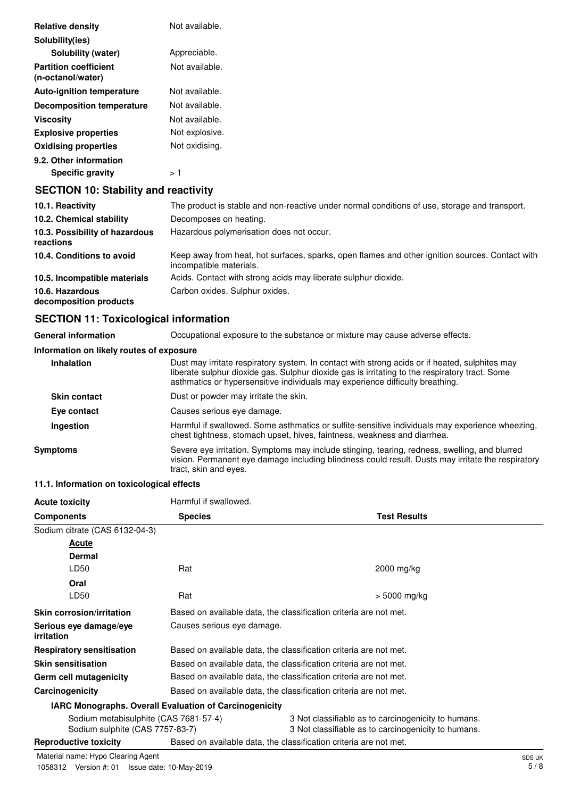| <b>Relative density</b>                           | Not available. |
|---------------------------------------------------|----------------|
| Solubility(ies)                                   |                |
| Solubility (water)                                | Appreciable.   |
| <b>Partition coefficient</b><br>(n-octanol/water) | Not available. |
| <b>Auto-ignition temperature</b>                  | Not available. |
| <b>Decomposition temperature</b>                  | Not available. |
| <b>Viscosity</b>                                  | Not available. |
| <b>Explosive properties</b>                       | Not explosive. |
| <b>Oxidising properties</b>                       | Not oxidising. |
| 9.2. Other information                            |                |
| <b>Specific gravity</b>                           | > 1            |

## **SECTION 10: Stability and reactivity**

| 10.1. Reactivity                            | The product is stable and non-reactive under normal conditions of use, storage and transport.                              |
|---------------------------------------------|----------------------------------------------------------------------------------------------------------------------------|
| 10.2. Chemical stability                    | Decomposes on heating.                                                                                                     |
| 10.3. Possibility of hazardous<br>reactions | Hazardous polymerisation does not occur.                                                                                   |
| 10.4. Conditions to avoid                   | Keep away from heat, hot surfaces, sparks, open flames and other ignition sources. Contact with<br>incompatible materials. |
| 10.5. Incompatible materials                | Acids. Contact with strong acids may liberate sulphur dioxide.                                                             |
| 10.6. Hazardous<br>decomposition products   | Carbon oxides. Sulphur oxides.                                                                                             |

## **SECTION 11: Toxicological information**

| <b>General information</b>               | Occupational exposure to the substance or mixture may cause adverse effects.                                                                                                                                                                                                      |  |  |
|------------------------------------------|-----------------------------------------------------------------------------------------------------------------------------------------------------------------------------------------------------------------------------------------------------------------------------------|--|--|
| Information on likely routes of exposure |                                                                                                                                                                                                                                                                                   |  |  |
| Inhalation                               | Dust may irritate respiratory system. In contact with strong acids or if heated, sulphites may<br>liberate sulphur dioxide gas. Sulphur dioxide gas is irritating to the respiratory tract. Some<br>asthmatics or hypersensitive individuals may experience difficulty breathing. |  |  |
| <b>Skin contact</b>                      | Dust or powder may irritate the skin.                                                                                                                                                                                                                                             |  |  |
| Eye contact                              | Causes serious eye damage.                                                                                                                                                                                                                                                        |  |  |
| Ingestion                                | Harmful if swallowed. Some asthmatics or sulfite-sensitive individuals may experience wheezing,<br>chest tightness, stomach upset, hives, faintness, weakness and diarrhea.                                                                                                       |  |  |
| <b>Symptoms</b>                          | Severe eye irritation. Symptoms may include stinging, tearing, redness, swelling, and blurred<br>vision. Permanent eye damage including blindness could result. Dusts may irritate the respiratory<br>tract, skin and eyes.                                                       |  |  |

## **11.1. Information on toxicological effects**

| <b>Acute toxicity</b>                       | Harmful if swallowed.                                         |                                                                   |  |  |
|---------------------------------------------|---------------------------------------------------------------|-------------------------------------------------------------------|--|--|
| <b>Components</b>                           | <b>Species</b>                                                | <b>Test Results</b>                                               |  |  |
| Sodium citrate (CAS 6132-04-3)              |                                                               |                                                                   |  |  |
| Acute                                       |                                                               |                                                                   |  |  |
| <b>Dermal</b>                               |                                                               |                                                                   |  |  |
| LD50                                        | Rat                                                           | 2000 mg/kg                                                        |  |  |
| Oral                                        |                                                               |                                                                   |  |  |
| LD50                                        | Rat                                                           | > 5000 mg/kg                                                      |  |  |
| <b>Skin corrosion/irritation</b>            |                                                               | Based on available data, the classification criteria are not met. |  |  |
| Serious eye damage/eye<br><i>irritation</i> | Causes serious eye damage.                                    |                                                                   |  |  |
| <b>Respiratory sensitisation</b>            |                                                               | Based on available data, the classification criteria are not met. |  |  |
| <b>Skin sensitisation</b>                   |                                                               | Based on available data, the classification criteria are not met. |  |  |
| Germ cell mutagenicity                      |                                                               | Based on available data, the classification criteria are not met. |  |  |
| Carcinogenicity                             |                                                               | Based on available data, the classification criteria are not met. |  |  |
|                                             | <b>IARC Monographs. Overall Evaluation of Carcinogenicity</b> |                                                                   |  |  |
| Sodium metabisulphite (CAS 7681-57-4)       |                                                               | 3 Not classifiable as to carcinogenicity to humans.               |  |  |
| Sodium sulphite (CAS 7757-83-7)             |                                                               | 3 Not classifiable as to carcinogenicity to humans.               |  |  |
| <b>Reproductive toxicity</b>                |                                                               | Based on available data, the classification criteria are not met. |  |  |

Material name: Hypo Clearing Agent Subsetted and Subsetted and Subsetted and Subsetted Agent Subsetted Agent Subsetted Agent Subsetted Agent Subsetted Agent Subsetted Agent St. 8 and St. 8 and St. 8 and St. 8 and St. 8 and 1058312 Version #: 01 Issue date: 10-May-2019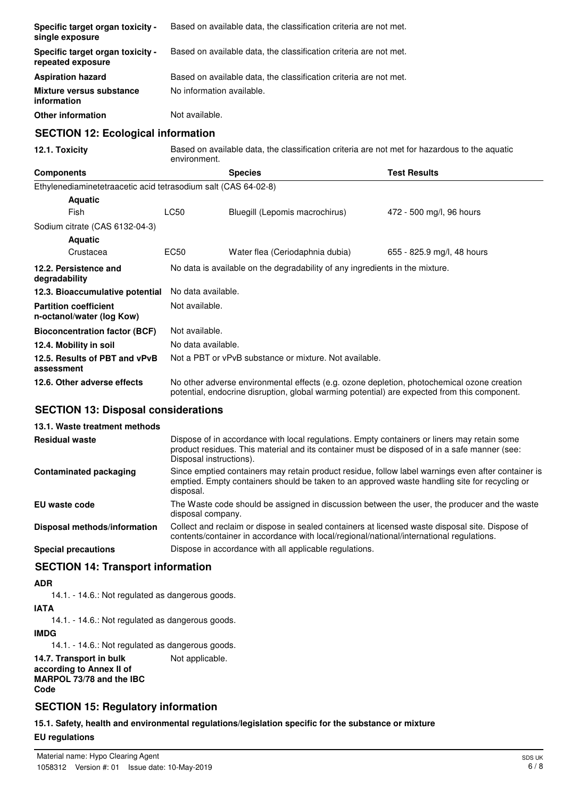| Specific target organ toxicity -<br>single exposure            | Based on available data, the classification criteria are not met.                                                                                                                          |                                                                   |                            |  |  |  |
|----------------------------------------------------------------|--------------------------------------------------------------------------------------------------------------------------------------------------------------------------------------------|-------------------------------------------------------------------|----------------------------|--|--|--|
| Specific target organ toxicity -<br>repeated exposure          | Based on available data, the classification criteria are not met.                                                                                                                          |                                                                   |                            |  |  |  |
| <b>Aspiration hazard</b>                                       |                                                                                                                                                                                            | Based on available data, the classification criteria are not met. |                            |  |  |  |
| Mixture versus substance<br>information                        | No information available.                                                                                                                                                                  |                                                                   |                            |  |  |  |
| <b>Other information</b>                                       | Not available.                                                                                                                                                                             |                                                                   |                            |  |  |  |
| <b>SECTION 12: Ecological information</b>                      |                                                                                                                                                                                            |                                                                   |                            |  |  |  |
| 12.1. Toxicity                                                 | Based on available data, the classification criteria are not met for hazardous to the aquatic<br>environment.                                                                              |                                                                   |                            |  |  |  |
| <b>Components</b>                                              |                                                                                                                                                                                            | <b>Species</b>                                                    | <b>Test Results</b>        |  |  |  |
| Ethylenediaminetetraacetic acid tetrasodium salt (CAS 64-02-8) |                                                                                                                                                                                            |                                                                   |                            |  |  |  |
| <b>Aquatic</b>                                                 |                                                                                                                                                                                            |                                                                   |                            |  |  |  |
| Fish                                                           | <b>LC50</b>                                                                                                                                                                                | Bluegill (Lepomis macrochirus)                                    | 472 - 500 mg/l, 96 hours   |  |  |  |
| Sodium citrate (CAS 6132-04-3)                                 |                                                                                                                                                                                            |                                                                   |                            |  |  |  |
| <b>Aquatic</b>                                                 |                                                                                                                                                                                            |                                                                   |                            |  |  |  |
| Crustacea                                                      | EC50                                                                                                                                                                                       | Water flea (Ceriodaphnia dubia)                                   | 655 - 825.9 mg/l, 48 hours |  |  |  |
| 12.2. Persistence and<br>degradability                         | No data is available on the degradability of any ingredients in the mixture.                                                                                                               |                                                                   |                            |  |  |  |
| 12.3. Bioaccumulative potential                                |                                                                                                                                                                                            | No data available.                                                |                            |  |  |  |
| <b>Partition coefficient</b><br>n-octanol/water (log Kow)      | Not available.                                                                                                                                                                             |                                                                   |                            |  |  |  |
| <b>Bioconcentration factor (BCF)</b>                           | Not available.                                                                                                                                                                             |                                                                   |                            |  |  |  |
| 12.4. Mobility in soil                                         | No data available.                                                                                                                                                                         |                                                                   |                            |  |  |  |
| 12.5. Results of PBT and vPvB<br>assessment                    | Not a PBT or vPvB substance or mixture. Not available.                                                                                                                                     |                                                                   |                            |  |  |  |
| 12.6. Other adverse effects                                    | No other adverse environmental effects (e.g. ozone depletion, photochemical ozone creation<br>potential, endocrine disruption, global warming potential) are expected from this component. |                                                                   |                            |  |  |  |

## **SECTION 13: Disposal considerations**

#### **13.1. Waste treatment methods** Dispose of in accordance with local regulations. Empty containers or liners may retain some product residues. This material and its container must be disposed of in a safe manner (see: Disposal instructions). **Residual waste** Since emptied containers may retain product residue, follow label warnings even after container is emptied. Empty containers should be taken to an approved waste handling site for recycling or disposal. **Contaminated packaging EU waste code** The Waste code should be assigned in discussion between the user, the producer and the waste disposal company. Collect and reclaim or dispose in sealed containers at licensed waste disposal site. Dispose of contents/container in accordance with local/regional/national/international regulations. **Disposal methods/information Special precautions** Dispose in accordance with all applicable regulations. **SECTION 14: Transport information**

#### **ADR**

14.1. - 14.6.: Not regulated as dangerous goods.

#### **IATA**

14.1. - 14.6.: Not regulated as dangerous goods.

#### **IMDG**

14.1. - 14.6.: Not regulated as dangerous goods.

#### **14.7. Transport in bulk** Not applicable. **according to Annex II of MARPOL 73/78 and the IBC Code**

## **SECTION 15: Regulatory information**

**15.1. Safety, health and environmental regulations/legislation specific for the substance or mixture**

## **EU regulations**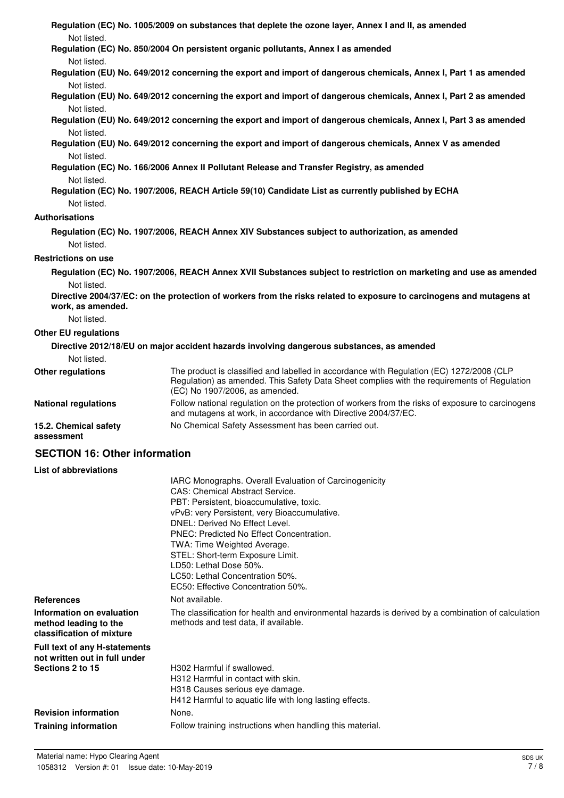|                                      | Regulation (EC) No. 1005/2009 on substances that deplete the ozone layer, Annex I and II, as amended                                                                                                                      |
|--------------------------------------|---------------------------------------------------------------------------------------------------------------------------------------------------------------------------------------------------------------------------|
| Not listed.                          |                                                                                                                                                                                                                           |
| Not listed.                          | Regulation (EC) No. 850/2004 On persistent organic pollutants, Annex I as amended                                                                                                                                         |
|                                      | Regulation (EU) No. 649/2012 concerning the export and import of dangerous chemicals, Annex I, Part 1 as amended                                                                                                          |
| Not listed.                          |                                                                                                                                                                                                                           |
| Not listed.                          | Regulation (EU) No. 649/2012 concerning the export and import of dangerous chemicals, Annex I, Part 2 as amended                                                                                                          |
| Not listed.                          | Regulation (EU) No. 649/2012 concerning the export and import of dangerous chemicals, Annex I, Part 3 as amended                                                                                                          |
| Not listed.                          | Regulation (EU) No. 649/2012 concerning the export and import of dangerous chemicals, Annex V as amended                                                                                                                  |
| Not listed.                          | Regulation (EC) No. 166/2006 Annex II Pollutant Release and Transfer Registry, as amended                                                                                                                                 |
|                                      | Regulation (EC) No. 1907/2006, REACH Article 59(10) Candidate List as currently published by ECHA                                                                                                                         |
| Not listed.                          |                                                                                                                                                                                                                           |
| <b>Authorisations</b>                |                                                                                                                                                                                                                           |
|                                      | Regulation (EC) No. 1907/2006, REACH Annex XIV Substances subject to authorization, as amended                                                                                                                            |
| Not listed.                          |                                                                                                                                                                                                                           |
| <b>Restrictions on use</b>           |                                                                                                                                                                                                                           |
|                                      | Regulation (EC) No. 1907/2006, REACH Annex XVII Substances subject to restriction on marketing and use as amended                                                                                                         |
| Not listed.                          |                                                                                                                                                                                                                           |
| work, as amended.                    | Directive 2004/37/EC: on the protection of workers from the risks related to exposure to carcinogens and mutagens at                                                                                                      |
| Not listed.                          |                                                                                                                                                                                                                           |
| <b>Other EU regulations</b>          |                                                                                                                                                                                                                           |
|                                      | Directive 2012/18/EU on major accident hazards involving dangerous substances, as amended                                                                                                                                 |
| Not listed.                          |                                                                                                                                                                                                                           |
| <b>Other regulations</b>             | The product is classified and labelled in accordance with Regulation (EC) 1272/2008 (CLP<br>Regulation) as amended. This Safety Data Sheet complies with the requirements of Regulation<br>(EC) No 1907/2006, as amended. |
| <b>National regulations</b>          | Follow national regulation on the protection of workers from the risks of exposure to carcinogens<br>and mutagens at work, in accordance with Directive 2004/37/EC.                                                       |
| 15.2. Chemical safety<br>assessment  | No Chemical Safety Assessment has been carried out.                                                                                                                                                                       |
| <b>SECTION 16: Other information</b> |                                                                                                                                                                                                                           |
| <b>List of abbreviations</b>         |                                                                                                                                                                                                                           |
|                                      | IARC Monographs. Overall Evaluation of Carcinogenicity                                                                                                                                                                    |
|                                      | <b>CAS: Chemical Abstract Service.</b><br>PBT: Persistent, bioaccumulative, toxic.                                                                                                                                        |
|                                      | vPvB: very Persistent, very Bioaccumulative.                                                                                                                                                                              |
|                                      | DNEL: Derived No Effect Level.                                                                                                                                                                                            |
|                                      | PNEC: Predicted No Effect Concentration.                                                                                                                                                                                  |
|                                      | TWA: Time Weighted Average.                                                                                                                                                                                               |

**References** Not available. The classification for health and environmental hazards is derived by a combination of calculation methods and test data, if available. **Information on evaluation method leading to the classification of mixture**

**Full text of any H-statements not written out in full under Sections 2 to 15**

H302 Harmful if swallowed. H312 Harmful in contact with skin. H318 Causes serious eye damage. H412 Harmful to aquatic life with long lasting effects. **Revision information** None. **Training information** Follow training instructions when handling this material.

STEL: Short-term Exposure Limit.

LC50: Lethal Concentration 50%. EC50: Effective Concentration 50%.

LD50: Lethal Dose 50%.